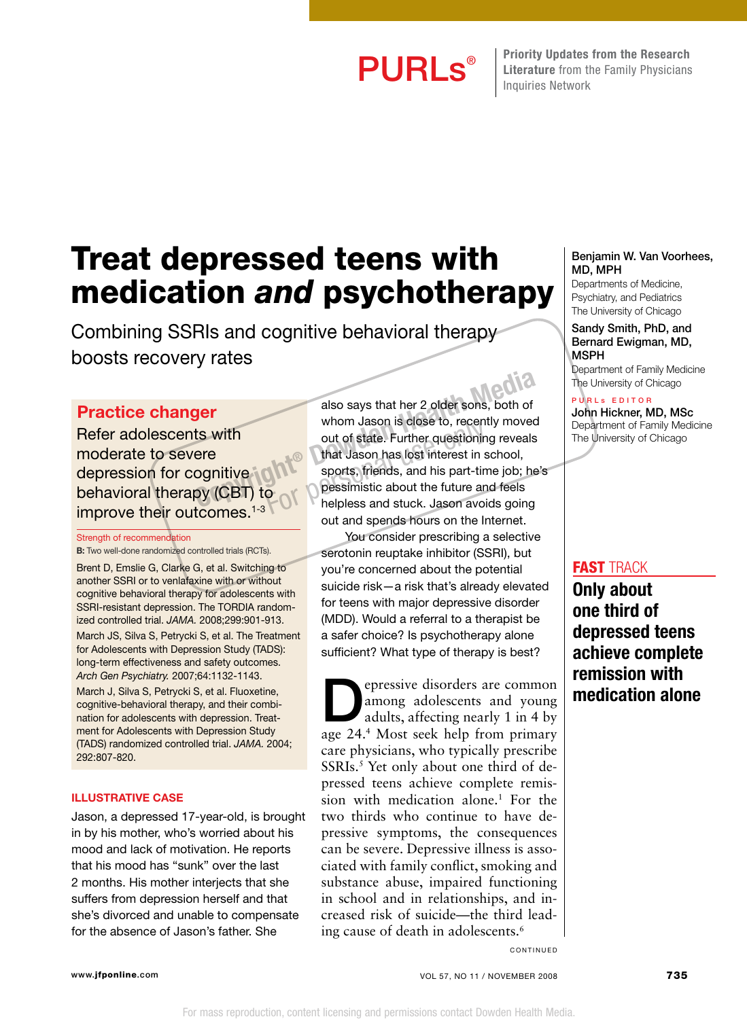PURLS® Friority Updates from the Research Literature from the Family Physicians Inquiries Network

## Treat depressed teens with medication *and* psychotherapy

Combining SSRIs and cognitive behavioral therapy boosts recovery rates

#### Practice changer

Refer adolescents with moderate to severe depression for cognitive behavioral therapy (CBT) to improve their outcomes.<sup>1-3</sup>

#### Strength of recommendation

B: Two well-done randomized controlled trials (RCTs).

Brent D, Emslie G, Clarke G, et al. Switching to another SSRI or to venlafaxine with or without cognitive behavioral therapy for adolescents with SSRI-resistant depression. The TORDIA randomized controlled trial. *JAMA.* 2008;299:901-913.

March JS, Silva S, Petrycki S, et al. The Treatment for Adolescents with Depression Study (TADS): long-term effectiveness and safety outcomes. *Arch Gen Psychiatry.* 2007;64:1132-1143.

March J, Silva S, Petrycki S, et al. Fluoxetine, cognitive-behavioral therapy, and their combination for adolescents with depression. Treatment for Adolescents with Depression Study (TADS) randomized controlled trial. *JAMA.* 2004; 292:807-820.

#### Illustrative case

Jason, a depressed 17-year-old, is brought in by his mother, who's worried about his mood and lack of motivation. He reports that his mood has "sunk" over the last 2 months. His mother interjects that she suffers from depression herself and that she's divorced and unable to compensate for the absence of Jason's father. She

also says that her 2 older sons, both of whom Jason is close to, recently moved out of state. Further questioning reveals that Jason has lost interest in school, sports, friends, and his part-time job; he's pessimistic about the future and feels helpless and stuck. Jason avoids going out and spends hours on the Internet. **Copyright Media Books** also says that her 2 older sons, both of<br>ts with whom Jason is close to, recently moved<br>out of state. Further questioning reveals<br>that Jason has lost interest in school,<br>sports, friends, and his par whom Jason is close to, recent<br>out of state. Further questionin<br>that Jason has lost interest in s<br>sports, friends, and his part-tin<br>pessimistic about the future and<br>helpless and stuck. Jason avoi

> You consider prescribing a selective serotonin reuptake inhibitor (SSRI), but you're concerned about the potential suicide risk—a risk that's already elevated for teens with major depressive disorder (MDD). Would a referral to a therapist be a safer choice? Is psychotherapy alone sufficient? What type of therapy is best?

epressive disorders are common<br>
among adolescents and young<br>
adults, affecting nearly 1 in 4 by among adolescents and young age 24.4 Most seek help from primary care physicians, who typically prescribe SSRIs.<sup>5</sup> Yet only about one third of depressed teens achieve complete remission with medication alone.<sup>1</sup> For the two thirds who continue to have depressive symptoms, the consequences can be severe. Depressive illness is associated with family conflict, smoking and substance abuse, impaired functioning in school and in relationships, and increased risk of suicide—the third leading cause of death in adolescents.6

#### Benjamin W. Van Voorhees, MD, MPH

Departments of Medicine, Psychiatry, and Pediatrics The University of Chicago

Sandy Smith, PhD, and Bernard Ewigman, MD, MSPH

Department of Family Medicine The University of Chicago

P U R L s E D I T O R John Hickner, MD, MSc Department of Family Medicine The University of Chicago

#### fast track

Only about one third of depressed teens achieve complete remission with medication alone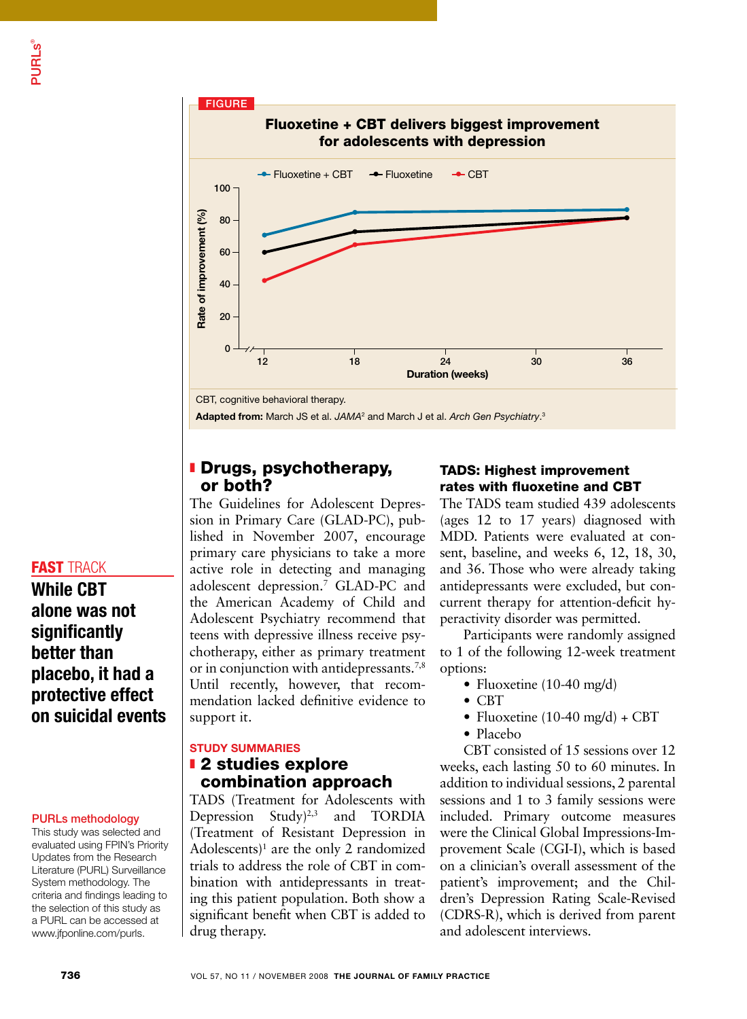

#### **I** Drugs, psychotherapy, or both?

The Guidelines for Adolescent Depression in Primary Care (GLAD-PC), published in November 2007, encourage primary care physicians to take a more active role in detecting and managing adolescent depression.7 GLAD-PC and the American Academy of Child and Adolescent Psychiatry recommend that teens with depressive illness receive psychotherapy, either as primary treatment or in conjunction with antidepressants.<sup>7,8</sup> Until recently, however, that recommendation lacked definitive evidence to support it.

#### STUDY SUMMARIES

#### **z** 2 studies explore combination approach

TADS (Treatment for Adolescents with Depression Study)<sup>2,3</sup> and TORDIA (Treatment of Resistant Depression in Adolescents)<sup>1</sup> are the only 2 randomized trials to address the role of CBT in combination with antidepressants in treating this patient population. Both show a significant benefit when CBT is added to drug therapy.

#### TADS: Highest improvement rates with fluoxetine and CBT

The TADS team studied 439 adolescents (ages 12 to 17 years) diagnosed with MDD. Patients were evaluated at consent, baseline, and weeks 6, 12, 18, 30, and 36. Those who were already taking antidepressants were excluded, but concurrent therapy for attention-deficit hyperactivity disorder was permitted.

Participants were randomly assigned to 1 of the following 12-week treatment options:

- Fluoxetine (10-40 mg/d)
- CBT
- Fluoxetine  $(10-40 \text{ mg/d}) + \text{CBT}$
- Placebo

CBT consisted of 15 sessions over 12 weeks, each lasting 50 to 60 minutes. In addition to individual sessions, 2 parental sessions and 1 to 3 family sessions were included. Primary outcome measures were the Clinical Global Impressions-Improvement Scale (CGI-I), which is based on a clinician's overall assessment of the patient's improvement; and the Children's Depression Rating Scale-Revised (CDRS-R), which is derived from parent and adolescent interviews.

#### **FAST TRACK** While CBT

alone was not **significantly** better than placebo, it had a protective effect on suicidal events

#### PURLs methodology

This study was selected and evaluated using FPIN's Priority Updates from the Research Literature (PURL) Surveillance System methodology. The criteria and findings leading to the selection of this study as a PURL can be accessed at www.jfponline.com/purls.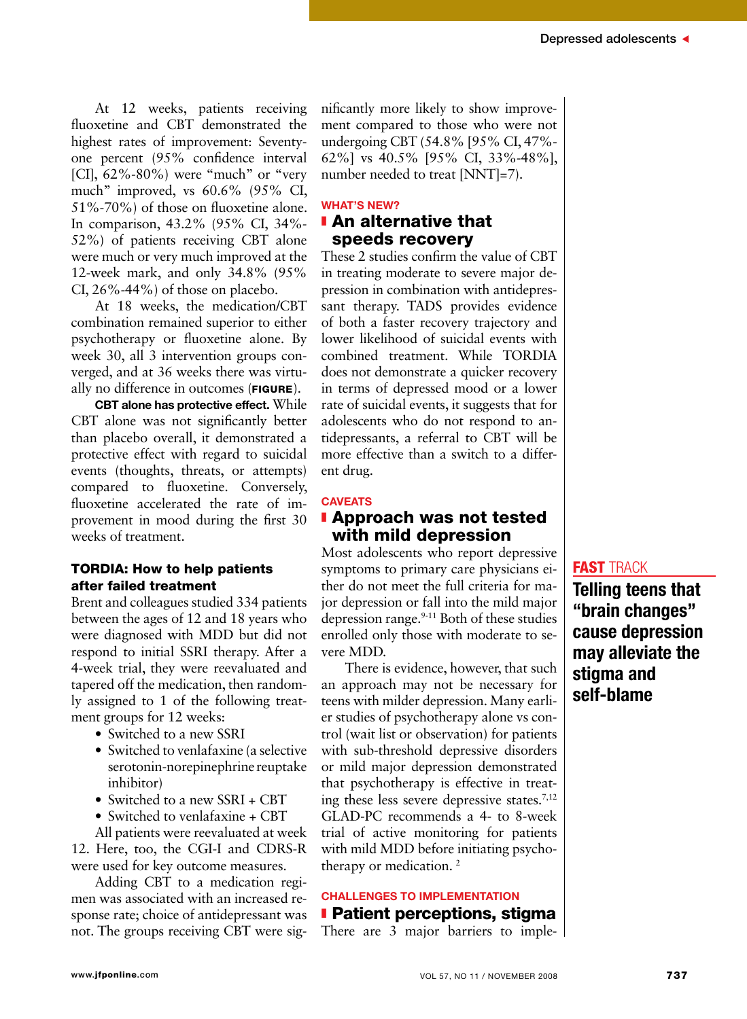At 12 weeks, patients receiving fluoxetine and CBT demonstrated the highest rates of improvement: Seventyone percent (95% confidence interval [CI],  $62\% - 80\%$ ) were "much" or "very much" improved, vs 60.6% (95% CI, 51%-70%) of those on fluoxetine alone. In comparison, 43.2% (95% CI, 34%- 52%) of patients receiving CBT alone were much or very much improved at the 12-week mark, and only 34.8% (95% CI, 26%-44%) of those on placebo.

At 18 weeks, the medication/CBT combination remained superior to either psychotherapy or fluoxetine alone. By week 30, all 3 intervention groups converged, and at 36 weeks there was virtually no difference in outcomes (FIGURE).

CBT alone has protective effect. While CBT alone was not significantly better than placebo overall, it demonstrated a protective effect with regard to suicidal events (thoughts, threats, or attempts) compared to fluoxetine. Conversely, fluoxetine accelerated the rate of improvement in mood during the first 30 weeks of treatment.

#### TORDIA: How to help patients after failed treatment

Brent and colleagues studied 334 patients between the ages of 12 and 18 years who were diagnosed with MDD but did not respond to initial SSRI therapy. After a 4-week trial, they were reevaluated and tapered off the medication, then randomly assigned to 1 of the following treatment groups for 12 weeks:

- Switched to a new SSRI
- Switched to venlafaxine (a selective serotonin-norepinephrine reuptake inhibitor)
- Switched to a new SSRI + CBT
- Switched to venlafaxine + CBT

All patients were reevaluated at week 12. Here, too, the CGI-I and CDRS-R were used for key outcome measures.

Adding CBT to a medication regimen was associated with an increased response rate; choice of antidepressant was not. The groups receiving CBT were significantly more likely to show improvement compared to those who were not undergoing CBT (54.8% [95% CI, 47%- 62%] vs 40.5% [95% CI, 33%-48%], number needed to treat [NNT]=7).

#### **WHAT'S NEW? I** An alternative that speeds recovery

These 2 studies confirm the value of CBT in treating moderate to severe major depression in combination with antidepressant therapy. TADS provides evidence of both a faster recovery trajectory and lower likelihood of suicidal events with combined treatment. While TORDIA does not demonstrate a quicker recovery in terms of depressed mood or a lower rate of suicidal events, it suggests that for adolescents who do not respond to antidepressants, a referral to CBT will be more effective than a switch to a different drug.

#### **CAVEATS I Approach was not tested** with mild depression

Most adolescents who report depressive symptoms to primary care physicians either do not meet the full criteria for major depression or fall into the mild major depression range. $9-11$  Both of these studies enrolled only those with moderate to severe MDD.

There is evidence, however, that such an approach may not be necessary for teens with milder depression. Many earlier studies of psychotherapy alone vs control (wait list or observation) for patients with sub-threshold depressive disorders or mild major depression demonstrated that psychotherapy is effective in treating these less severe depressive states.7,12 GLAD-PC recommends a 4- to 8-week trial of active monitoring for patients with mild MDD before initiating psychotherapy or medication. 2

#### Challenges to implementation **Patient perceptions, stigma**

There are 3 major barriers to imple-

#### **FAST TRACK**

Telling teens that "brain changes" cause depression may alleviate the stigma and self-blame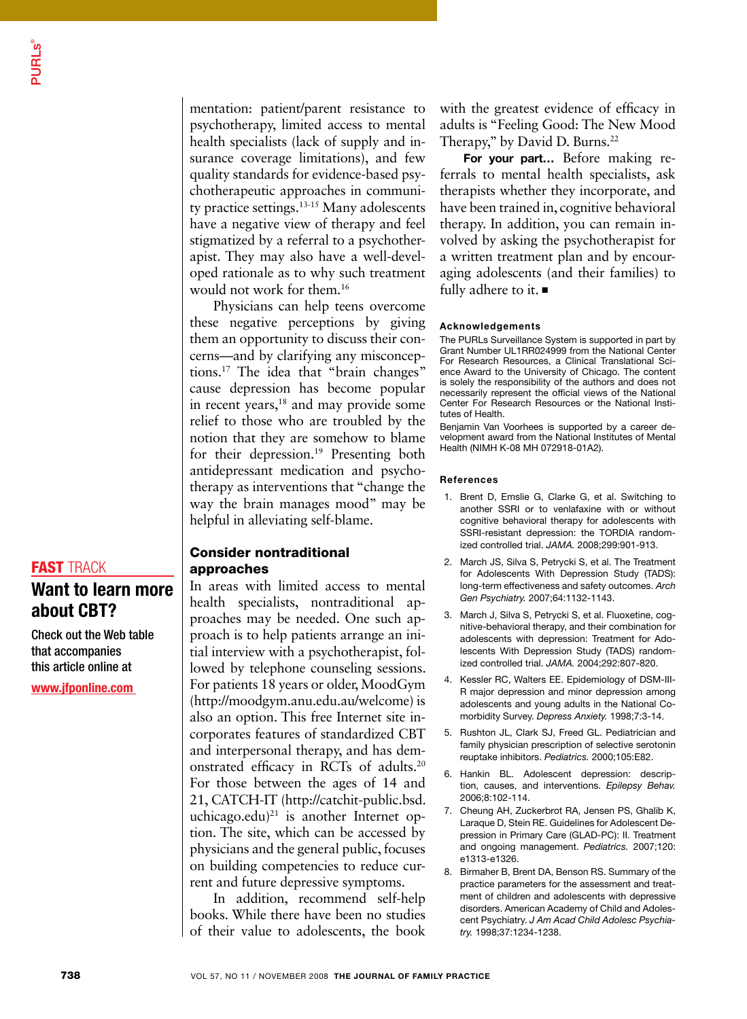mentation: patient/parent resistance to psychotherapy, limited access to mental health specialists (lack of supply and insurance coverage limitations), and few quality standards for evidence-based psychotherapeutic approaches in community practice settings.13-15 Many adolescents have a negative view of therapy and feel stigmatized by a referral to a psychotherapist. They may also have a well-developed rationale as to why such treatment would not work for them.16

Physicians can help teens overcome these negative perceptions by giving them an opportunity to discuss their concerns—and by clarifying any misconceptions.17 The idea that "brain changes" cause depression has become popular in recent years,<sup>18</sup> and may provide some relief to those who are troubled by the notion that they are somehow to blame for their depression.19 Presenting both antidepressant medication and psychotherapy as interventions that "change the way the brain manages mood" may be helpful in alleviating self-blame.

#### Consider nontraditional approaches

In areas with limited access to mental health specialists, nontraditional approaches may be needed. One such approach is to help patients arrange an initial interview with a psychotherapist, followed by telephone counseling sessions. For patients 18 years or older, MoodGym (http://moodgym.anu.edu.au/welcome) is also an option. This free Internet site incorporates features of standardized CBT and interpersonal therapy, and has demonstrated efficacy in RCTs of adults.20 For those between the ages of 14 and 21, CATCH-IT (http://catchit-public.bsd. uchicago.edu)<sup>21</sup> is another Internet option. The site, which can be accessed by physicians and the general public, focuses on building competencies to reduce current and future depressive symptoms.

In addition, recommend self-help books. While there have been no studies of their value to adolescents, the book with the greatest evidence of efficacy in adults is "Feeling Good: The New Mood Therapy," by David D. Burns.<sup>22</sup>

For your part... Before making referrals to mental health specialists, ask therapists whether they incorporate, and have been trained in, cognitive behavioral therapy. In addition, you can remain involved by asking the psychotherapist for a written treatment plan and by encouraging adolescents (and their families) to fully adhere to it.  $\blacksquare$ 

#### Acknowledgements

The PURLs Surveillance System is supported in part by Grant Number UL1RR024999 from the National Center For Research Resources, a Clinical Translational Science Award to the University of Chicago. The content is solely the responsibility of the authors and does not necessarily represent the official views of the National Center For Research Resources or the National Institutes of Health.

Benjamin Van Voorhees is supported by a career development award from the National Institutes of Mental Health (NIMH K-08 MH 072918-01A2).

#### References

- 1. Brent D, Emslie G, Clarke G, et al. Switching to another SSRI or to venlafaxine with or without cognitive behavioral therapy for adolescents with SSRI-resistant depression: the TORDIA randomized controlled trial. *JAMA.* 2008;299:901-913.
- 2. March JS, Silva S, Petrycki S, et al. The Treatment for Adolescents With Depression Study (TADS): long-term effectiveness and safety outcomes. *Arch Gen Psychiatry.* 2007;64:1132-1143.
- 3. March J, Silva S, Petrycki S, et al. Fluoxetine, cognitive-behavioral therapy, and their combination for adolescents with depression: Treatment for Adolescents With Depression Study (TADS) randomized controlled trial. *JAMA.* 2004;292:807-820.
- 4. Kessler RC, Walters EE. Epidemiology of DSM-III-R major depression and minor depression among adolescents and young adults in the National Comorbidity Survey. *Depress Anxiety.* 1998;7:3-14.
- 5. Rushton JL, Clark SJ, Freed GL. Pediatrician and family physician prescription of selective serotonin reuptake inhibitors. *Pediatrics.* 2000;105:E82.
- 6. Hankin BL. Adolescent depression: description, causes, and interventions. *Epilepsy Behav.*  2006;8:102-114.
- 7. Cheung AH, Zuckerbrot RA, Jensen PS, Ghalib K, Laraque D, Stein RE. Guidelines for Adolescent Depression in Primary Care (GLAD-PC): II. Treatment and ongoing management. *Pediatrics.* 2007;120: e1313-e1326.
- 8. Birmaher B, Brent DA, Benson RS. Summary of the practice parameters for the assessment and treatment of children and adolescents with depressive disorders. American Academy of Child and Adolescent Psychiatry. *J Am Acad Child Adolesc Psychiatry.* 1998;37:1234-1238.

#### **FAST TRACK**

### Want to learn more about CBT?

Check out the Web table that accompanies this article online at

www.jfponline.com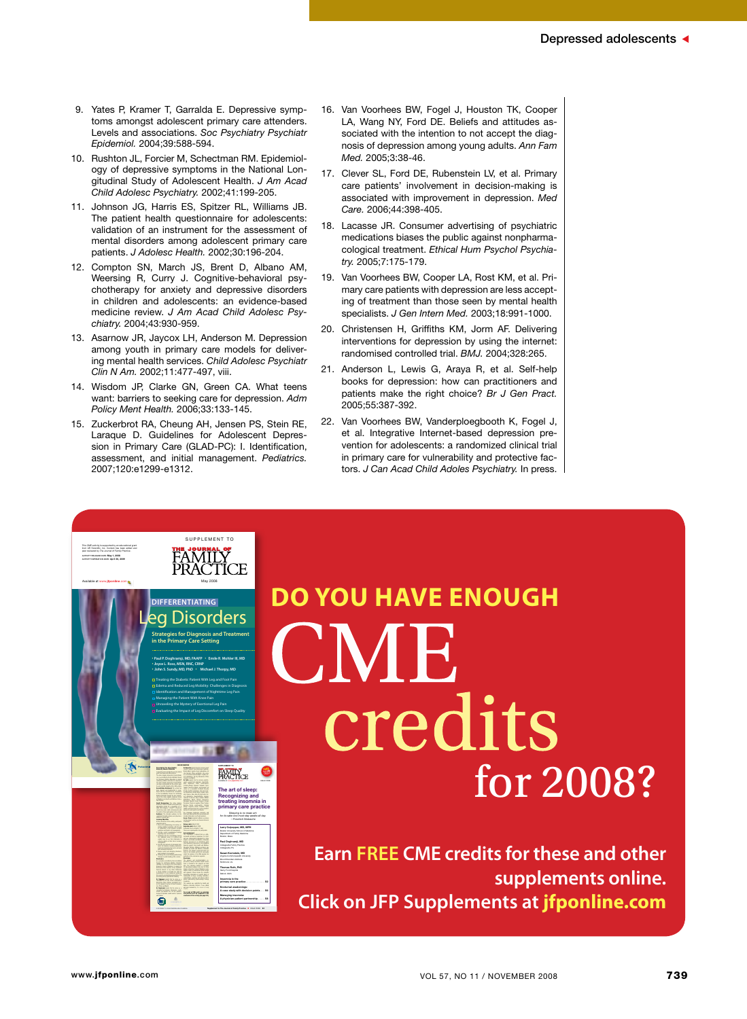- 9. Yates P, Kramer T, Garralda E. Depressive symptoms amongst adolescent primary care attenders. Levels and associations. *Soc Psychiatry Psychiatr Epidemiol.* 2004;39:588-594.
- 10. Rushton JL, Forcier M, Schectman RM. Epidemiology of depressive symptoms in the National Longitudinal Study of Adolescent Health. *J Am Acad Child Adolesc Psychiatry.* 2002;41:199-205.
- 11. Johnson JG, Harris ES, Spitzer RL, Williams JB. The patient health questionnaire for adolescents: validation of an instrument for the assessment of mental disorders among adolescent primary care patients. *J Adolesc Health.* 2002;30:196-204.
- 12. Compton SN, March JS, Brent D, Albano AM, Weersing R, Curry J. Cognitive-behavioral psychotherapy for anxiety and depressive disorders in children and adolescents: an evidence-based medicine review. *J Am Acad Child Adolesc Psychiatry.* 2004;43:930-959.
- 13. Asarnow JR, Jaycox LH, Anderson M. Depression among youth in primary care models for delivering mental health services. *Child Adolesc Psychiatr Clin N Am.* 2002;11:477-497, viii.
- 14. Wisdom JP, Clarke GN, Green CA. What teens want: barriers to seeking care for depression. *Adm Policy Ment Health.* 2006;33:133-145.
- 15. Zuckerbrot RA, Cheung AH, Jensen PS, Stein RE, Laraque D. Guidelines for Adolescent Depression in Primary Care (GLAD-PC): I. Identification, assessment, and initial management. *Pediatrics.* 2007;120:e1299-e1312.

Available at www.jfponline.com may 2008

this Cme activity is supported by an educational grant from AR scientific, Inc. Content has been edited and peer reviewed by *The Journal of Family Practice*. Activity releAse dAte: May 1, 2008

s u p p l e m e n t t o

ournal of<br>MILY ŤİCE

• **Paul P. Doghramji, MD, FAAFP** • **Emile R. Mohler III, MD** •**Joyce L. Ross, MSN, RNC, CRNP** • **John S. Sundy, MD, PhD** • **Michael J. Thorpy, MD** Treating the Diabetic Patient With Leg and Foot Pain Edema and Reduced Leg Mobility: Challenges in Diagnosis Identification and Management of Nighttime Leg Pain Managing the Patient With Knee Pain Unraveling the Mystery of Exertional Leg Pain Evaluating the Impact of Leg Discomfort on Sleep Quality

**DIFFERENTIATING** a Disorders **Strategies for Diagnosis and Treatment in the Primary Care Setting**

this supplement to The Journal of family PracTice is part of the Biology of leg Disorders (BolD®) educational initiative, sponsored by professional postgraduate services®.

> research support from Boehringer-Inselation. Bristol-Myers Squibb, Forest Laboratories, Eli est Laboratories, Eli Ulti, Neurocrine, Pfizer, Dr Roth reports that he receives grant/research support from Cephalon, GlaxoSmith-Takeda, TransOral, Wyeth, and Xenoport. He serves as a consultant to Abbott, Accadia, est Laboratories, GlasoSmith, Hypnion, Johnson & Johnson, King, Ludbeck, McNeil. Resteva, Roche, sanofi-aventis, Schering Plough, Sepracor, Servier, Somaxon, Syrex, to disclose. Estimated time to complete: 1 hour rial board call held on September 10, 2007, financial support from Health and Wellness those of the faculty and do not necessarily Disclaimer The opinions and recommendations exfor educational purposes only. Use of Johns prescribing information of specific drugs or combination of drugs, including indications, For receipt of CME credit, an evaluation and posttest must be completed at the

University School of Medicine been planned and implemented in accor-Grade Besignation: The Johns Hopkins the extent of their participation in the activity. Audience: The intended audience for this supplement includes primary care physicians, of establishing a link between insomnia 3. Determine how the neurobiology impacts the individual nature of insomnia and 5. Review current and emerging pharmaco-Disclosures disclosure of the existence of any significant Dr Culpepper reports that he serves as a consultant to Eli Lilly, Forest Laboratories, Dr Doghramji reports that he serves as a aventis, and Takeda. He is on the speaker's bureau of Cephalon, sanofi-aventis, Sepracor,

Þ

Larry Culpepper, MD, MPH Paul Doghramji, MD Susan Kornstein, MD Thomas Roth, PhD Insomnia in the primary care practice . . . . . . . . . . . . . . . . . . . . . . S2 A case study with decision points. . . . . S6 Managing insomnia: A physician-patient partnership........ S6

Copyright & 2008 Download Download Supplement to The Journal of Family Practice n March 2008 St

art of sl Recognizing and treating insomnia in primary care practice *Sleeping is no mean art: for its sake one must stay awake all day. —Friedrich Nietzsche*

1.0 CME credit

SuPPLeMeNT To

- 16. Van Voorhees BW, Fogel J, Houston TK, Cooper LA, Wang NY, Ford DE. Beliefs and attitudes associated with the intention to not accept the diagnosis of depression among young adults. *Ann Fam Med.* 2005;3:38-46.
- 17. Clever SL, Ford DE, Rubenstein LV, et al. Primary care patients' involvement in decision-making is associated with improvement in depression. *Med Care.* 2006;44:398-405.
- 18. Lacasse JR. Consumer advertising of psychiatric medications biases the public against nonpharmacological treatment. *Ethical Hum Psychol Psychiatry.* 2005;7:175-179.
- 19. Van Voorhees BW, Cooper LA, Rost KM, et al. Primary care patients with depression are less accepting of treatment than those seen by mental health specialists. *J Gen Intern Med.* 2003;18:991-1000.
- 20. Christensen H, Griffiths KM, Jorm AF. Delivering interventions for depression by using the internet: randomised controlled trial. *BMJ.* 2004;328:265.
- 21. Anderson L, Lewis G, Araya R, et al. Self-help books for depression: how can practitioners and patients make the right choice? *Br J Gen Pract.*  2005;55:387-392.
- 22. Van Voorhees BW, Vanderploegbooth K, Fogel J, et al. Integrative Internet-based depression prevention for adolescents: a randomized clinical trial in primary care for vulnerability and protective factors. *J Can Acad Child Adoles Psychiatry.* In press.

# **Do you have enough MB** credits for 2008?

**Earn FREE CME credits for these and other supplements online. Click on JFP Supplements at jfponline.com**